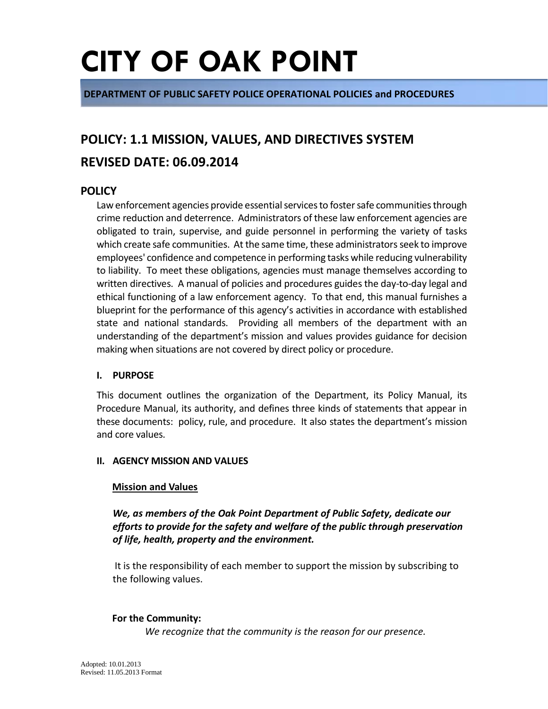**DEPARTMENT OF PUBLIC SAFETY POLICE OPERATIONAL POLICIES and PROCEDURES**

# **POLICY: 1.1 MISSION, VALUES, AND DIRECTIVES SYSTEM**

# **REVISED DATE: 06.09.2014**

## **POLICY**

Law enforcement agencies provide essential services to foster safe communities through crime reduction and deterrence. Administrators of these law enforcement agencies are obligated to train, supervise, and guide personnel in performing the variety of tasks which create safe communities. At the same time, these administrators seek to improve employees' confidence and competence in performing tasks while reducing vulnerability to liability. To meet these obligations, agencies must manage themselves according to written directives. A manual of policies and procedures guides the day-to-day legal and ethical functioning of a law enforcement agency. To that end, this manual furnishes a blueprint for the performance of this agency's activities in accordance with established state and national standards. Providing all members of the department with an understanding of the department's mission and values provides guidance for decision making when situations are not covered by direct policy or procedure.

#### **I. PURPOSE**

This document outlines the organization of the Department, its Policy Manual, its Procedure Manual, its authority, and defines three kinds of statements that appear in these documents: policy, rule, and procedure. It also states the department's mission and core values.

#### **II. AGENCY MISSION AND VALUES**

#### **Mission and Values**

*We, as members of the Oak Point Department of Public Safety, dedicate our efforts to provide for the safety and welfare of the public through preservation of life, health, property and the environment.* 

 It is the responsibility of each member to support the mission by subscribing to the following values.

#### **For the Community:**

*We recognize that the community is the reason for our presence.*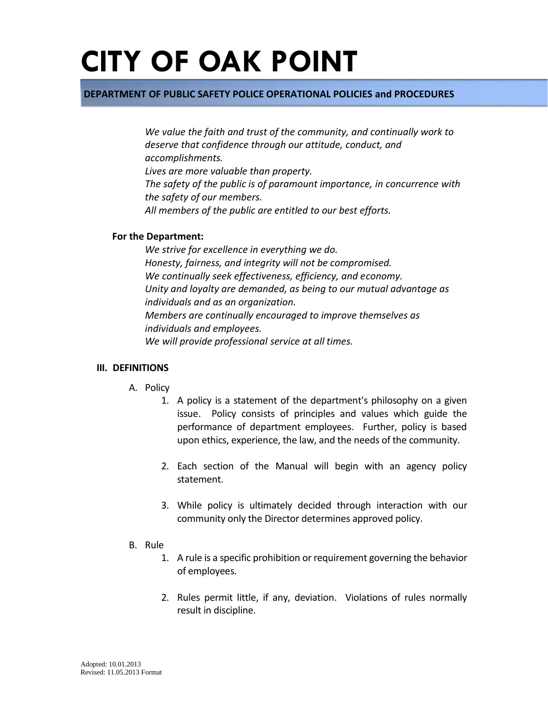### **DEPARTMENT OF PUBLIC SAFETY POLICE OPERATIONAL POLICIES and PROCEDURES**

*We value the faith and trust of the community, and continually work to deserve that confidence through our attitude, conduct, and accomplishments. Lives are more valuable than property. The safety of the public is of paramount importance, in concurrence with the safety of our members. All members of the public are entitled to our best efforts.*

#### **For the Department:**

*We strive for excellence in everything we do. Honesty, fairness, and integrity will not be compromised. We continually seek effectiveness, efficiency, and economy. Unity and loyalty are demanded, as being to our mutual advantage as individuals and as an organization. Members are continually encouraged to improve themselves as individuals and employees. We will provide professional service at all times.* 

#### **III. DEFINITIONS**

- A. Policy
	- 1. A policy is a statement of the department's philosophy on a given issue. Policy consists of principles and values which guide the performance of department employees. Further, policy is based upon ethics, experience, the law, and the needs of the community.
	- 2. Each section of the Manual will begin with an agency policy statement.
	- 3. While policy is ultimately decided through interaction with our community only the Director determines approved policy.
- B. Rule
	- 1. A rule is a specific prohibition or requirement governing the behavior of employees.
	- 2. Rules permit little, if any, deviation. Violations of rules normally result in discipline.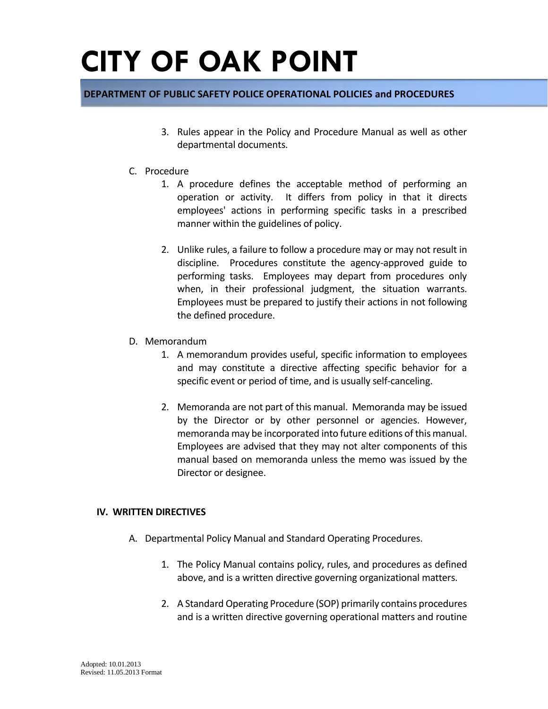### **DEPARTMENT OF PUBLIC SAFETY POLICE OPERATIONAL POLICIES and PROCEDURES**

- 3. Rules appear in the Policy and Procedure Manual as well as other departmental documents.
- C. Procedure
	- 1. A procedure defines the acceptable method of performing an operation or activity. It differs from policy in that it directs employees' actions in performing specific tasks in a prescribed manner within the guidelines of policy.
	- 2. Unlike rules, a failure to follow a procedure may or may not result in discipline. Procedures constitute the agency-approved guide to performing tasks. Employees may depart from procedures only when, in their professional judgment, the situation warrants. Employees must be prepared to justify their actions in not following the defined procedure.
- D. Memorandum
	- 1. A memorandum provides useful, specific information to employees and may constitute a directive affecting specific behavior for a specific event or period of time, and is usually self-canceling.
	- 2. Memoranda are not part of this manual. Memoranda may be issued by the Director or by other personnel or agencies. However, memoranda may be incorporated into future editions of this manual. Employees are advised that they may not alter components of this manual based on memoranda unless the memo was issued by the Director or designee.

#### **IV. WRITTEN DIRECTIVES**

- A. Departmental Policy Manual and Standard Operating Procedures.
	- 1. The Policy Manual contains policy, rules, and procedures as defined above, and is a written directive governing organizational matters.
	- 2. A Standard Operating Procedure (SOP) primarily contains procedures and is a written directive governing operational matters and routine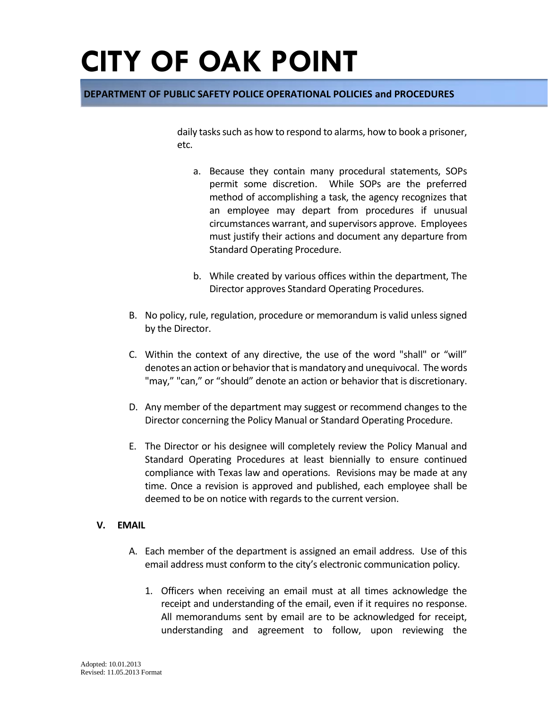### **DEPARTMENT OF PUBLIC SAFETY POLICE OPERATIONAL POLICIES and PROCEDURES**

daily tasks such as how to respond to alarms, how to book a prisoner, etc.

- a. Because they contain many procedural statements, SOPs permit some discretion. While SOPs are the preferred method of accomplishing a task, the agency recognizes that an employee may depart from procedures if unusual circumstances warrant, and supervisors approve. Employees must justify their actions and document any departure from Standard Operating Procedure.
- b. While created by various offices within the department, The Director approves Standard Operating Procedures.
- B. No policy, rule, regulation, procedure or memorandum is valid unless signed by the Director.
- C. Within the context of any directive, the use of the word "shall" or "will" denotes an action or behavior that is mandatory and unequivocal. The words "may," "can," or "should" denote an action or behavior that is discretionary.
- D. Any member of the department may suggest or recommend changes to the Director concerning the Policy Manual or Standard Operating Procedure.
- E. The Director or his designee will completely review the Policy Manual and Standard Operating Procedures at least biennially to ensure continued compliance with Texas law and operations. Revisions may be made at any time. Once a revision is approved and published, each employee shall be deemed to be on notice with regards to the current version.

### **V. EMAIL**

- A. Each member of the department is assigned an email address. Use of this email address must conform to the city's electronic communication policy.
	- 1. Officers when receiving an email must at all times acknowledge the receipt and understanding of the email, even if it requires no response. All memorandums sent by email are to be acknowledged for receipt, understanding and agreement to follow, upon reviewing the